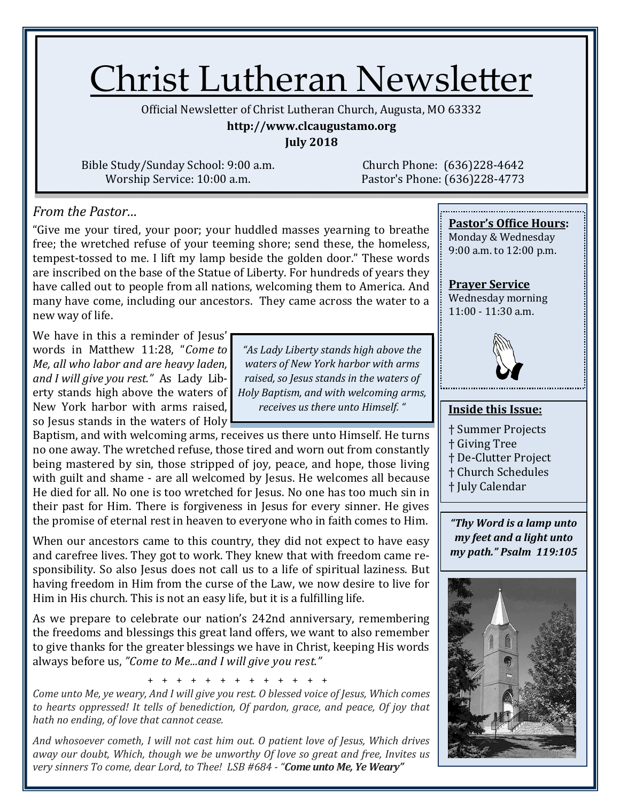# Christ Lutheran Newsletter

Official Newsletter of Christ Lutheran Church, Augusta, MO 63332

#### **http://www.clcaugustamo.org**

**July 2018**

Bible Study/Sunday School: 9:00 a.m. Worship Service: 10:00 a.m.

Church Phone: (636)228-4642 Pastor's Phone: (636)228-4773

#### *From the Pastor…*

"Give me your tired, your poor; your huddled masses yearning to breathe free; the wretched refuse of your teeming shore; send these, the homeless, tempest-tossed to me. I lift my lamp beside the golden door." These words are inscribed on the base of the Statue of Liberty. For hundreds of years they have called out to people from all nations, welcoming them to America. And many have come, including our ancestors. They came across the water to a new way of life.

We have in this a reminder of Jesus' words in Matthew 11:28, "*Come to Me, all who labor and are heavy laden, and I will give you rest."* As Lady Liberty stands high above the waters of New York harbor with arms raised, so Jesus stands in the waters of Holy

Baptism, and with welcoming arms, receives us there unto Himself. He turns no one away. The wretched refuse, those tired and worn out from constantly being mastered by sin, those stripped of joy, peace, and hope, those living with guilt and shame - are all welcomed by Jesus. He welcomes all because He died for all. No one is too wretched for Jesus. No one has too much sin in their past for Him. There is forgiveness in Jesus for every sinner. He gives the promise of eternal rest in heaven to everyone who in faith comes to Him.

When our ancestors came to this country, they did not expect to have easy and carefree lives. They got to work. They knew that with freedom came responsibility. So also Jesus does not call us to a life of spiritual laziness. But having freedom in Him from the curse of the Law, we now desire to live for Him in His church. This is not an easy life, but it is a fulfilling life.

As we prepare to celebrate our nation's 242nd anniversary, remembering the freedoms and blessings this great land offers, we want to also remember to give thanks for the greater blessings we have in Christ, keeping His words always before us, *"Come to Me...and I will give you rest."*

+ + + + + + + + + + + + +

*Come unto Me, ye weary, And I will give you rest. O blessed voice of Jesus, Which comes to hearts oppressed! It tells of benediction, Of pardon, grace, and peace, Of joy that hath no ending, of love that cannot cease.*

*And whosoever cometh, I will not cast him out. O patient love of Jesus, Which drives away our doubt, Which, though we be unworthy Of love so great and free, Invites us very sinners To come, dear Lord, to Thee! LSB #684 - "Come unto Me, Ye Weary"*

*"As Lady Liberty stands high above the waters of New York harbor with arms raised, so Jesus stands in the waters of Holy Baptism, and with welcoming arms, receives us there unto Himself. "*

### **Prayer Service**

**Pastor's Office Hours:** Monday & Wednesday 9:00 a.m. to 12:00 p.m.

Wednesday morning 11:00 - 11:30 a.m.



#### **Inside this Issue:**

- † Summer Projects
- † Giving Tree
- † De-Clutter Project
- † Church Schedules
- † July Calendar

*"Thy Word is a lamp unto my feet and a light unto my path." Psalm 119:105*

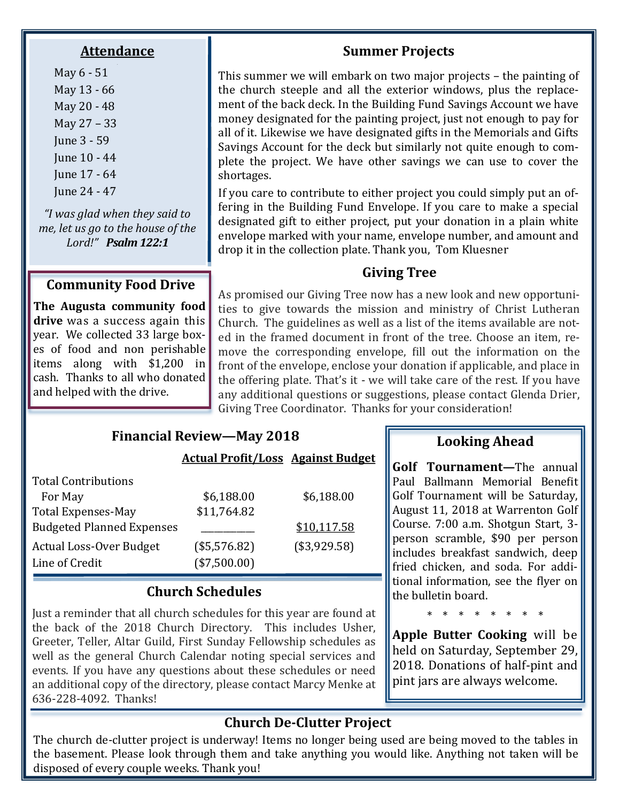#### **Attendance**

May 6 - 51 May 13 - 66 May 20 - 48 May 27 – 33 June 3 - 59 June 10 - 44 June 17 - 64 June 24 - 47

*"I was glad when they said to me, let us go to the house of the Lord!" Psalm 122:1*

#### **Community Food Drive**

**The Augusta community food drive** was a success again this year. We collected 33 large boxes of food and non perishable items along with \$1,200 in cash. Thanks to all who donated and helped with the drive.

#### **Summer Projects**

This summer we will embark on two major projects – the painting of the church steeple and all the exterior windows, plus the replacement of the back deck. In the Building Fund Savings Account we have money designated for the painting project, just not enough to pay for all of it. Likewise we have designated gifts in the Memorials and Gifts Savings Account for the deck but similarly not quite enough to complete the project. We have other savings we can use to cover the shortages.

If you care to contribute to either project you could simply put an offering in the Building Fund Envelope. If you care to make a special designated gift to either project, put your donation in a plain white envelope marked with your name, envelope number, and amount and drop it in the collection plate. Thank you, Tom Kluesner

#### **Giving Tree**

As promised our Giving Tree now has a new look and new opportunities to give towards the mission and ministry of Christ Lutheran Church. The guidelines as well as a list of the items available are noted in the framed document in front of the tree. Choose an item, remove the corresponding envelope, fill out the information on the front of the envelope, enclose your donation if applicable, and place in the offering plate. That's it - we will take care of the rest. If you have any additional questions or suggestions, please contact Glenda Drier, Giving Tree Coordinator. Thanks for your consideration!

#### **Financial Review—May 2018**

#### **Actual Profit/Loss Against Budget**

| <b>Total Contributions</b>       |              |              |
|----------------------------------|--------------|--------------|
| For May                          | \$6,188.00   | \$6,188.00   |
| <b>Total Expenses-May</b>        | \$11,764.82  |              |
| <b>Budgeted Planned Expenses</b> |              | \$10,117.58  |
| <b>Actual Loss-Over Budget</b>   | (\$5,576.82) | (\$3,929.58) |
| Line of Credit                   | (\$7,500.00) |              |

#### **Church Schedules**

Just a reminder that all church schedules for this year are found at the back of the 2018 Church Directory. This includes Usher, Greeter, Teller, Altar Guild, First Sunday Fellowship schedules as well as the general Church Calendar noting special services and events. If you have any questions about these schedules or need an additional copy of the directory, please contact Marcy Menke at 636-228-4092. Thanks!

#### **Looking Ahead**

**Golf Tournament—The annual** Paul Ballmann Memorial Benefit Golf Tournament will be Saturday, August 11, 2018 at Warrenton Golf Course. 7:00 a.m. Shotgun Start, 3 person scramble, \$90 per person includes breakfast sandwich, deep fried chicken, and soda. For additional information, see the flyer on the bulletin board.

\* \* \* \* \* \* \* \*

**Apple Butter Cooking** will be held on Saturday, September 29, 2018. Donations of half-pint and pint jars are always welcome.

#### **Church De-Clutter Project**

The church de-clutter project is underway! Items no longer being used are being moved to the tables in the basement. Please look through them and take anything you would like. Anything not taken will be disposed of every couple weeks. Thank you!